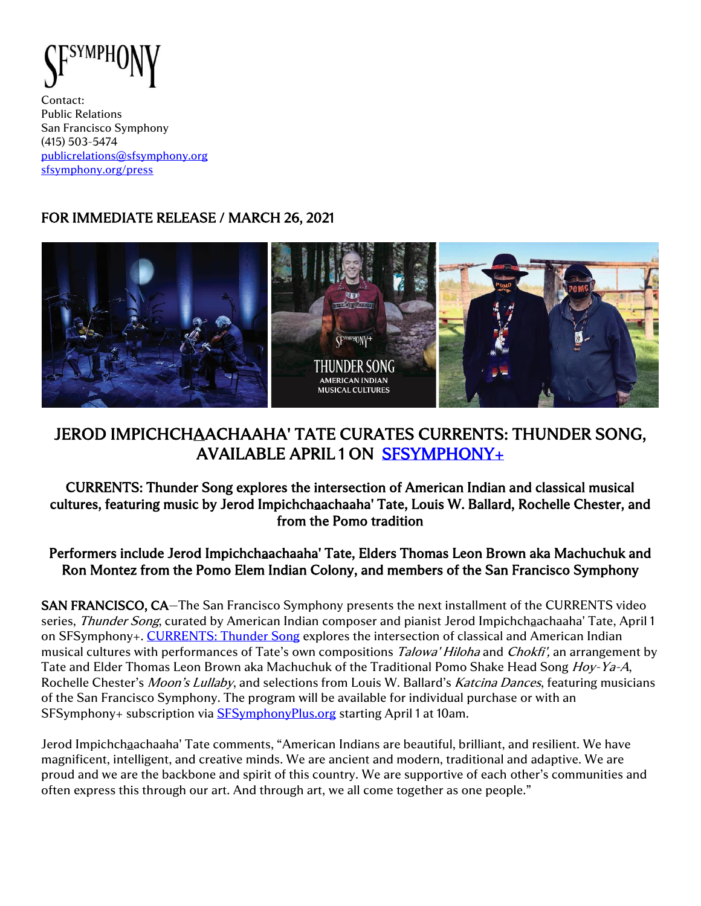

Contact: Public Relations San Francisco Symphony (415) 503-5474 [publicrelations@sfsymphony.org](mailto:publicrelations@sfsymphony.org) [sfsymphony.org/press](http://sfsymphony.org/press)

# FOR IMMEDIATE RELEASE / MARCH 26, 2021



# JEROD IMPICHCHAACHAAHA' TATE CURATES CURRENTS: THUNDER SONG, AVAILABLE APRIL 1 ON [SFSYMPHONY+](https://www.sfsymphonyplus.org/)

### CURRENTS: Thunder Song explores the intersection of American Indian and classical musical cultures, featuring music by Jerod Impichchaachaaha' Tate, Louis W. Ballard, Rochelle Chester, and from the Pomo tradition

#### Performers include Jerod Impichchaachaaha' Tate, Elders Thomas Leon Brown aka Machuchuk and Ron Montez from the Pomo Elem Indian Colony, and members of the San Francisco Symphony

SAN FRANCISCO, CA—The San Francisco Symphony presents the next installment of the CURRENTS video series, *Thunder Song*, curated by American Indian composer and pianist Jerod Impichchaachaaha' Tate, April 1 on SFSymphony+. [CURRENTS: Thunder Song](https://www.sfsymphonyplus.org/products/jerod-impichchaachaaha-tate) explores the intersection of classical and American Indian musical cultures with performances of Tate's own compositions Talowa' Hiloha and Chokfi', an arrangement by Tate and Elder Thomas Leon Brown aka Machuchuk of the Traditional Pomo Shake Head Song Hoy-Ya-A, Rochelle Chester's Moon's Lullaby, and selections from Louis W. Ballard's Katcina Dances, featuring musicians of the San Francisco Symphony. The program will be available for individual purchase or with an SFSymphony+ subscription via **SFSymphonyPlus.org** starting April 1 at 10am.

Jerod Impichchaachaaha' Tate comments, "American Indians are beautiful, brilliant, and resilient. We have magnificent, intelligent, and creative minds. We are ancient and modern, traditional and adaptive. We are proud and we are the backbone and spirit of this country. We are supportive of each other's communities and often express this through our art. And through art, we all come together as one people."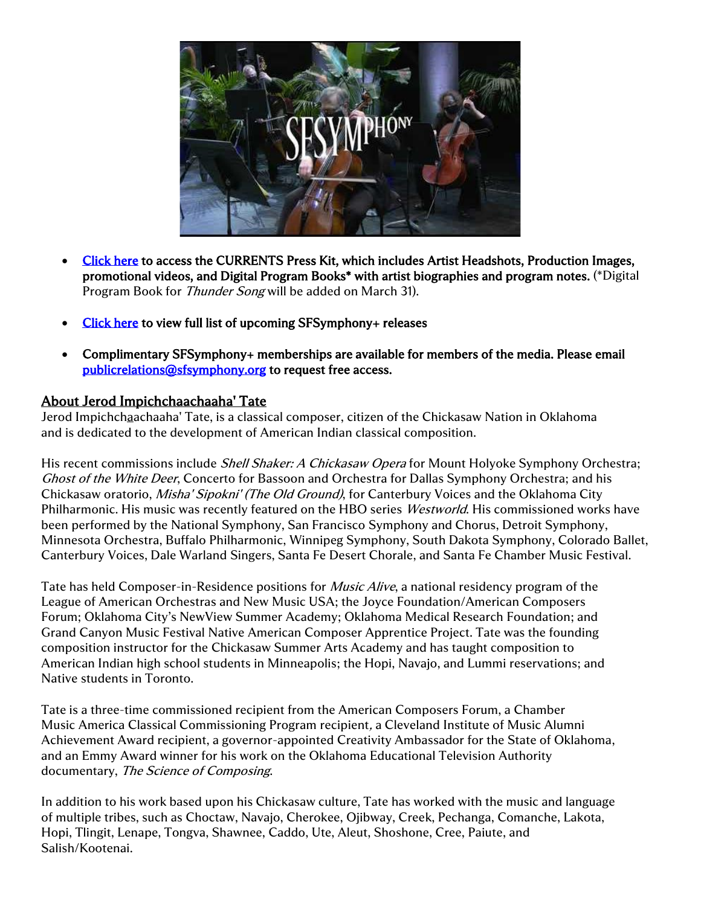

- [Click here](https://www.sfsymphony.org/About-SFS/Press-Room/Press-Kits/CURRENTS) to access the CURRENTS Press Kit, which includes Artist Headshots, Production Images, promotional videos, and Digital Program Books\* with artist biographies and program notes. (\*Digital Program Book for Thunder Song will be added on March 31).
- [Click here](https://www.sfsymphony.org/SanFrancisco/media/SanFrancisco/Press%20Room/Press%20Kits/SFSymphonyPlus/SFSymphony-releases-CNY-2021_UPDATED-3-8-21.pdf) to view full list of upcoming SFSymphony+ releases
- Complimentary SFSymphony+ memberships are available for members of the media. Please email [publicrelations@sfsymphony.org](mailto:publicrelations@sfsymphony.org) to request free access.

#### About Jerod Impichchaachaaha' Tate

Jerod Impichchaachaaha' Tate, is a classical composer, citizen of the Chickasaw Nation in Oklahoma and is dedicated to the development of American Indian classical composition.

His recent commissions include *Shell Shaker: A Chickasaw Opera* for Mount Holyoke Symphony Orchestra; Ghost of the White Deer, Concerto for Bassoon and Orchestra for Dallas Symphony Orchestra; and his Chickasaw oratorio, *Misha' Sipokni' (The Old Ground)*, for Canterbury Voices and the Oklahoma City Philharmonic. His music was recently featured on the HBO series Westworld. His commissioned works have been performed by the National Symphony, San Francisco Symphony and Chorus, Detroit Symphony, Minnesota Orchestra, Buffalo Philharmonic, Winnipeg Symphony, South Dakota Symphony, Colorado Ballet, Canterbury Voices, Dale Warland Singers, Santa Fe Desert Chorale, and Santa Fe Chamber Music Festival.

Tate has held Composer-in-Residence positions for *Music Alive*, a national residency program of the League of American Orchestras and New Music USA; the Joyce Foundation/American Composers Forum; Oklahoma City's NewView Summer Academy; Oklahoma Medical Research Foundation; and Grand Canyon Music Festival Native American Composer Apprentice Project. Tate was the founding composition instructor for the Chickasaw Summer Arts Academy and has taught composition to American Indian high school students in Minneapolis; the Hopi, Navajo, and Lummi reservations; and Native students in Toronto.

Tate is a three-time commissioned recipient from the American Composers Forum, a Chamber Music America Classical Commissioning Program recipient, a Cleveland Institute of Music Alumni Achievement Award recipient, a governor-appointed Creativity Ambassador for the State of Oklahoma, and an Emmy Award winner for his work on the Oklahoma Educational Television Authority documentary, The Science of Composing.

In addition to his work based upon his Chickasaw culture, Tate has worked with the music and language of multiple tribes, such as Choctaw, Navajo, Cherokee, Ojibway, Creek, Pechanga, Comanche, Lakota, Hopi, Tlingit, Lenape, Tongva, Shawnee, Caddo, Ute, Aleut, Shoshone, Cree, Paiute, and Salish/Kootenai.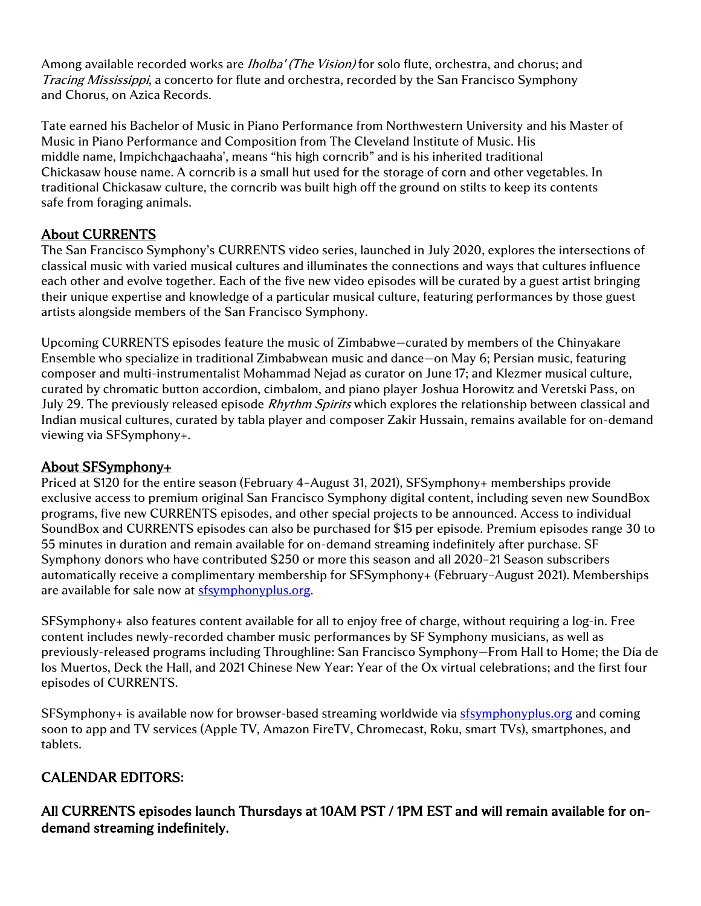Among available recorded works are *Iholba' (The Vision)* for solo flute, orchestra, and chorus; and Tracing Mississippi, a concerto for flute and orchestra, recorded by the San Francisco Symphony and Chorus, on Azica Records.

Tate earned his Bachelor of Music in Piano Performance from Northwestern University and his Master of Music in Piano Performance and Composition from The Cleveland Institute of Music. His middle name, Impichchaachaaha', means "his high corncrib" and is his inherited traditional Chickasaw house name. A corncrib is a small hut used for the storage of corn and other vegetables. In traditional Chickasaw culture, the corncrib was built high off the ground on stilts to keep its contents safe from foraging animals.

## About CURRENTS

The San Francisco Symphony's CURRENTS video series, launched in July 2020, explores the intersections of classical music with varied musical cultures and illuminates the connections and ways that cultures influence each other and evolve together. Each of the five new video episodes will be curated by a guest artist bringing their unique expertise and knowledge of a particular musical culture, featuring performances by those guest artists alongside members of the San Francisco Symphony.

Upcoming CURRENTS episodes feature the music of Zimbabwe—curated by members of the Chinyakare Ensemble who specialize in traditional Zimbabwean music and dance—on May 6; Persian music, featuring composer and multi-instrumentalist Mohammad Nejad as curator on June 17; and Klezmer musical culture, curated by chromatic button accordion, cimbalom, and piano player Joshua Horowitz and Veretski Pass, on July 29. The previously released episode *Rhythm Spirits* which explores the relationship between classical and Indian musical cultures, curated by tabla player and composer Zakir Hussain, remains available for on-demand viewing via SFSymphony+.

### About SFSymphony+

Priced at \$120 for the entire season (February 4–August 31, 2021), SFSymphony+ memberships provide exclusive access to premium original San Francisco Symphony digital content, including seven new SoundBox programs, five new CURRENTS episodes, and other special projects to be announced. Access to individual SoundBox and CURRENTS episodes can also be purchased for \$15 per episode. Premium episodes range 30 to 55 minutes in duration and remain available for on-demand streaming indefinitely after purchase. SF Symphony donors who have contributed \$250 or more this season and all 2020–21 Season subscribers automatically receive a complimentary membership for SFSymphony+ (February–August 2021). Memberships are available for sale now at [sfsymphonyplus.org.](https://www.sfsymphonyplus.org/)

SFSymphony+ also features content available for all to enjoy free of charge, without requiring a log-in. Free content includes newly-recorded chamber music performances by SF Symphony musicians, as well as previously-released programs including Throughline: San Francisco Symphony—From Hall to Home; the Día de los Muertos, Deck the Hall, and 2021 Chinese New Year: Year of the Ox virtual celebrations; and the first four episodes of CURRENTS.

SFSymphony+ is available now for browser-based streaming worldwide via [sfsymphonyplus.org](https://www.sfsymphonyplus.org/) and coming soon to app and TV services (Apple TV, Amazon FireTV, Chromecast, Roku, smart TVs), smartphones, and tablets.

### CALENDAR EDITORS**:**

All CURRENTS episodes launch Thursdays at 10AM PST / 1PM EST and will remain available for ondemand streaming indefinitely.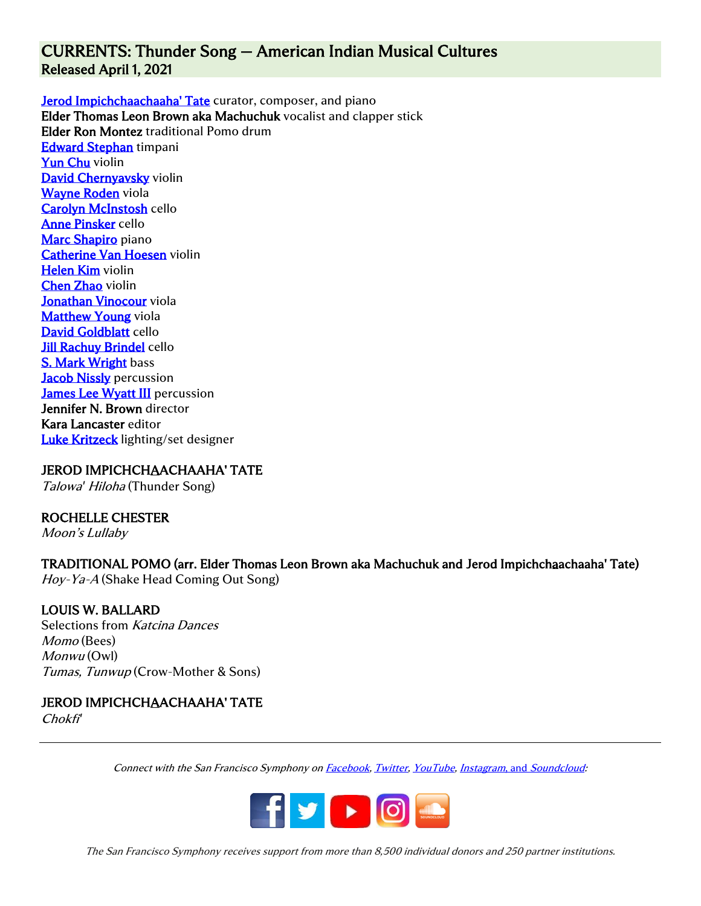## CURRENTS: Thunder Song — American Indian Musical Cultures Released April 1, 2021

[Jerod Impichchaachaaha' Tate](http://jerodtate.com/about/) curator, composer, and piano Elder Thomas Leon Brown aka Machuchuk vocalist and clapper stick Elder Ron Montez traditional Pomo drum [Edward Stephan](https://www.sfsymphony.org/Discover-the-Music/Articles-Interviews/Articles/MOM-Edward-Stephan) timpani [Yun Chu](https://www.sfsymphony.org/Discover-the-Music/Articles-Interviews/Articles/MoM-Yun-Chu) violin [David Chernyavsky](https://www.sfsymphony.org/Data/Event-Data/Artists/C/David-Chernyavsky-violin) violin [Wayne Roden](https://www.sfsymphony.org/Data/Event-Data/Artists/R/Wayne-Roden) viola [Carolyn McInstosh](https://www.sfsymphony.org/Data/Event-Data/Artists/M/Carolyn-McIntosh) cello [Anne Pinsker](https://www.sfsymphony.org/Data/Event-Data/Artists/P/Anne-Pinsker) cello [Marc Shapiro](https://www.sfsymphony.org/Data/Event-Data/Artists/S/Marc-Shapiro) piano [Catherine Van Hoesen](https://www.sfsymphony.org/Data/Event-Data/Artists/V/Catherine-Van-Hoesen) violin [Helen Kim](https://www.sfsymphony.org/Data/Event-Data/Artists/K/Helen-Kim) violin [Chen Zhao](https://www.sfsymphony.org/Discover-the-Music/Articles-Interviews/Articles/MEET-THE-SFS-MUSICIANS-VIOLINIST-CHEN-ZHAO) violin [Jonathan Vinocour](https://www.sfsymphony.org/Data/Event-Data/Artists/V/Jonathan-Vinocour) viola **[Matthew Young](https://www.sfsymphony.org/Discover-the-Music/Articles-Interviews/Articles/MEET-THE-SFS-MUSICIANS-VIOLA-MATTHEW-YOUNG) viola** [David Goldblatt](https://www.sfsymphony.org/Data/Event-Data/Artists/G/David-Goldblatt) cello [Jill Rachuy Brindel](https://www.sfsymphony.org/Data/Event-Data/Artists/B/Jill-Brindel) cello **[S. Mark Wright](https://www.sfsymphony.org/Data/Event-Data/Artists/W/Mark-Wright) bass [Jacob Nissly](https://www.sfsymphony.org/Data/Event-Data/Artists/N/Jacob-Nissly) percussion** [James Lee Wyatt III](https://www.sfsymphony.org/Data/Event-Data/Artists/W/James-Lee-Wyatt-III) percussion Jennifer N. Brown director Kara Lancaster editor [Luke Kritzeck](https://www.lukekritzeck.com/about) lighting/set designer

JEROD IMPICHCHAACHAAHA' TATE Talowa*'* Hiloha (Thunder Song)

#### ROCHELLE CHESTER

Moon's Lullaby

### TRADITIONAL POMO (arr. Elder Thomas Leon Brown aka Machuchuk and Jerod Impichchaachaaha' Tate)

Hoy-Ya-A (Shake Head Coming Out Song)

#### LOUIS W. BALLARD

Selections from Katcina Dances Momo (Bees) Monwu (Owl) Tumas, Tunwup (Crow-Mother & Sons)

#### JEROD IMPICHCHAACHAAHA' TATE

Chokfi*'*

Connect with the San Francisco Symphony o[n Facebook,](http://facebook.com/sfsymphony) [Twitter,](http://twitter.com/sfsymphony) [YouTube,](http://www.youtube.com/user/sfsymphony) [Instagram](https://www.instagram.com/sfsymphony/?hl=en), and [Soundcloud:](https://soundcloud.com/sfsymphony)



The San Francisco Symphony receives support from more than 8,500 individual donors and 250 partner institutions.